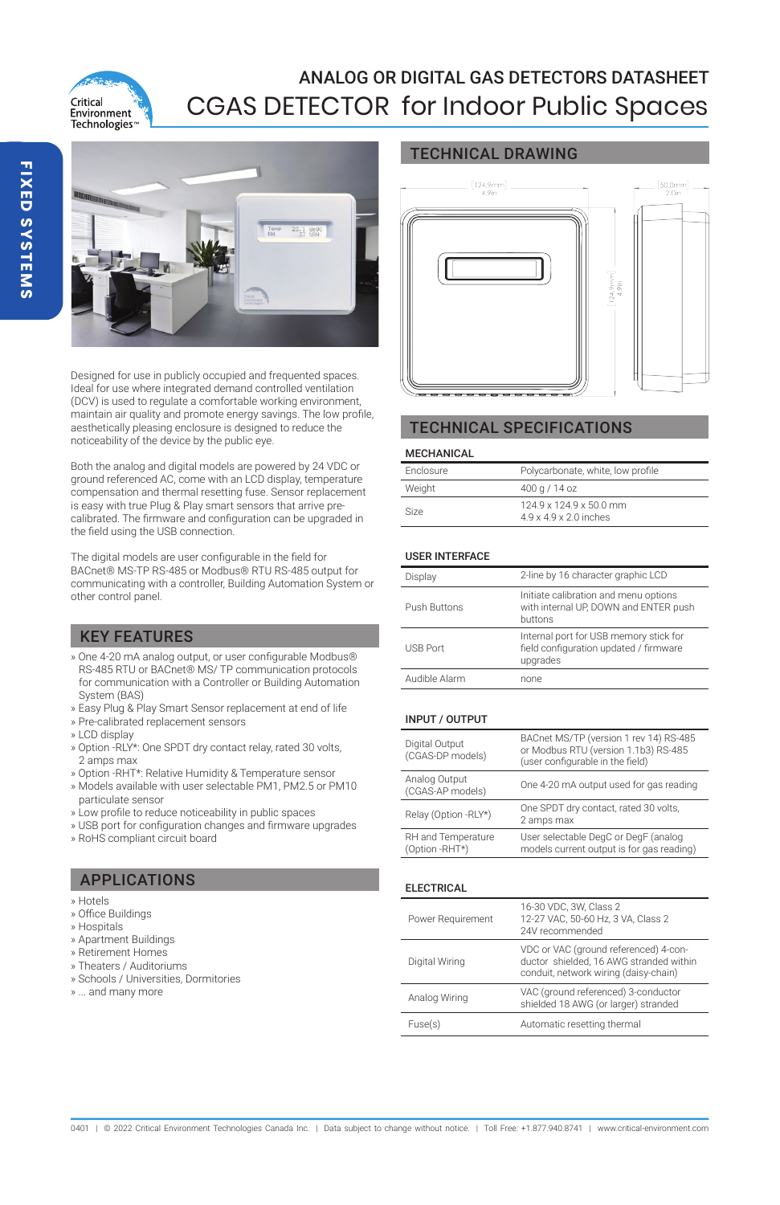

# ANALOG OR DIGITAL GAS DETECTORS DATASHEET CGAS DETECTOR for Indoor Public Spaces



Designed for use in publicly occupied and frequented spaces. Ideal for use where integrated demand controlled ventilation (DCV) is used to regulate a comfortable working environment, maintain air quality and promote energy savings. The low profile, aesthetically pleasing enclosure is designed to reduce the noticeability of the device by the public eye.

Both the analog and digital models are powered by 24 VDC or ground referenced AC, come with an LCD display, temperature compensation and thermal resetting fuse. Sensor replacement is easy with true Plug & Play smart sensors that arrive precalibrated. The firmware and configuration can be upgraded in the field using the USB connection.

The digital models are user configurable in the field for BACnet® MS-TP RS-485 or Modbus® RTU RS-485 output for communicating with a controller, Building Automation System or other control panel.

# KEY FEATURES

- » One 4-20 mA analog output, or user configurable Modbus® RS-485 RTU or BACnet® MS/ TP communication protocols for communication with a Controller or Building Automation System (BAS)
- » Easy Plug & Play Smart Sensor replacement at end of life
- » Pre-calibrated replacement sensors
- » LCD display
- » Option -RLY\*: One SPDT dry contact relay, rated 30 volts, 2 amps max
- » Option -RHT\*: Relative Humidity & Temperature sensor
- » Models available with user selectable PM1, PM2.5 or PM10 particulate sensor
- » Low profile to reduce noticeability in public spaces
- » USB port for configuration changes and firmware upgrades
- » RoHS compliant circuit board

# APPLICATIONS

- » Hotels
- » Office Buildings
- » Hospitals
- » Apartment Buildings
- » Retirement Homes
- » Theaters / Auditoriums » Schools / Universities, Dormitories
- 
- » ... and many more

## TECHNICAL DRAWING



# TECHNICAL SPECIFICATIONS

#### MECHANICAL

| Enclosure | Polycarbonate, white, low profile                          |
|-----------|------------------------------------------------------------|
| Weight    | 400 a / 14 oz                                              |
| Size      | 124.9 x 124.9 x 50.0 mm<br>$49 \times 49 \times 20$ inches |

#### USER INTERFACE

| Display         | 2-line by 16 character graphic LCD                                                           |
|-----------------|----------------------------------------------------------------------------------------------|
| Push Buttons    | Initiate calibration and menu options<br>with internal UP, DOWN and ENTER push<br>buttons    |
| <b>USB Port</b> | Internal port for USB memory stick for<br>field configuration updated / firmware<br>upgrades |
| Audible Alarm   | none                                                                                         |

#### INPUT / OUTPUT

| Digital Output<br>(CGAS-DP models)   | BACnet MS/TP (version 1 rev 14) RS-485<br>or Modbus RTU (version 1.1b3) RS-485<br>(user configurable in the field) |
|--------------------------------------|--------------------------------------------------------------------------------------------------------------------|
| Analog Output<br>(CGAS-AP models)    | One 4-20 mA output used for gas reading                                                                            |
| Relay (Option -RLY*)                 | One SPDT dry contact, rated 30 volts,<br>2 amps max                                                                |
| RH and Temperature<br>(Option -RHT*) | User selectable DegC or DegF (analog<br>models current output is for gas reading)                                  |

#### ELECTRICAL

| Power Requirement | 16-30 VDC, 3W, Class 2<br>12-27 VAC, 50-60 Hz, 3 VA, Class 2<br>24V recommended                                           |
|-------------------|---------------------------------------------------------------------------------------------------------------------------|
| Digital Wiring    | VDC or VAC (ground referenced) 4-con-<br>ductor shielded. 16 AWG stranded within<br>conduit, network wiring (daisy-chain) |
| Analog Wiring     | VAC (ground referenced) 3-conductor<br>shielded 18 AWG (or larger) stranded                                               |
| Fuse(s)           | Automatic resetting thermal                                                                                               |